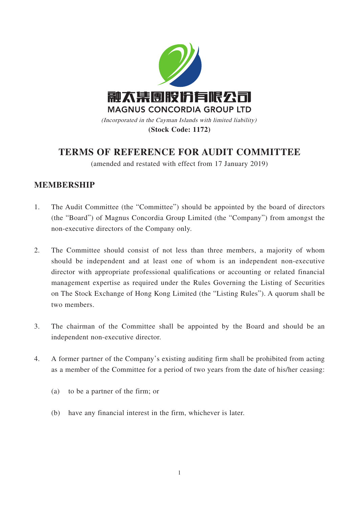

**(Stock Code: 1172)**

# **TERMS OF REFERENCE FOR AUDIT COMMITTEE**

(amended and restated with effect from 17 January 2019)

### **MEMBERSHIP**

- 1. The Audit Committee (the "Committee") should be appointed by the board of directors (the "Board") of Magnus Concordia Group Limited (the "Company") from amongst the non-executive directors of the Company only.
- 2. The Committee should consist of not less than three members, a majority of whom should be independent and at least one of whom is an independent non-executive director with appropriate professional qualifications or accounting or related financial management expertise as required under the Rules Governing the Listing of Securities on The Stock Exchange of Hong Kong Limited (the "Listing Rules"). A quorum shall be two members.
- 3. The chairman of the Committee shall be appointed by the Board and should be an independent non-executive director.
- 4. A former partner of the Company's existing auditing firm shall be prohibited from acting as a member of the Committee for a period of two years from the date of his/her ceasing:
	- (a) to be a partner of the firm; or
	- (b) have any financial interest in the firm, whichever is later.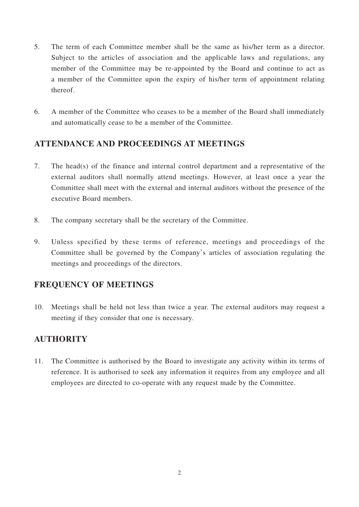- 5. The term of each Committee member shall be the same as his/her term as a director. Subject to the articles of association and the applicable laws and regulations, any member of the Committee may be re-appointed by the Board and continue to act as a member of the Committee upon the expiry of his/her term of appointment relating thereof.
- 6. A member of the Committee who ceases to be a member of the Board shall immediately and automatically cease to be a member of the Committee.

## **ATTENDANCE AND PROCEEDINGS AT MEETINGS**

- 7. The head(s) of the finance and internal control department and a representative of the external auditors shall normally attend meetings. However, at least once a year the Committee shall meet with the external and internal auditors without the presence of the executive Board members.
- 8. The company secretary shall be the secretary of the Committee.
- 9. Unless specified by these terms of reference, meetings and proceedings of the Committee shall be governed by the Company's articles of association regulating the meetings and proceedings of the directors.

## **FREQUENCY OF MEETINGS**

10. Meetings shall be held not less than twice a year. The external auditors may request a meeting if they consider that one is necessary.

## **AUTHORITY**

11. The Committee is authorised by the Board to investigate any activity within its terms of reference. It is authorised to seek any information it requires from any employee and all employees are directed to co-operate with any request made by the Committee.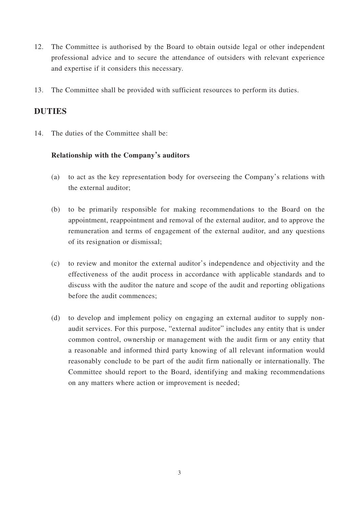- 12. The Committee is authorised by the Board to obtain outside legal or other independent professional advice and to secure the attendance of outsiders with relevant experience and expertise if it considers this necessary.
- 13. The Committee shall be provided with sufficient resources to perform its duties.

### **DUTIES**

14. The duties of the Committee shall be:

#### **Relationship with the Company's auditors**

- (a) to act as the key representation body for overseeing the Company's relations with the external auditor;
- (b) to be primarily responsible for making recommendations to the Board on the appointment, reappointment and removal of the external auditor, and to approve the remuneration and terms of engagement of the external auditor, and any questions of its resignation or dismissal;
- (c) to review and monitor the external auditor's independence and objectivity and the effectiveness of the audit process in accordance with applicable standards and to discuss with the auditor the nature and scope of the audit and reporting obligations before the audit commences;
- (d) to develop and implement policy on engaging an external auditor to supply nonaudit services. For this purpose, "external auditor" includes any entity that is under common control, ownership or management with the audit firm or any entity that a reasonable and informed third party knowing of all relevant information would reasonably conclude to be part of the audit firm nationally or internationally. The Committee should report to the Board, identifying and making recommendations on any matters where action or improvement is needed;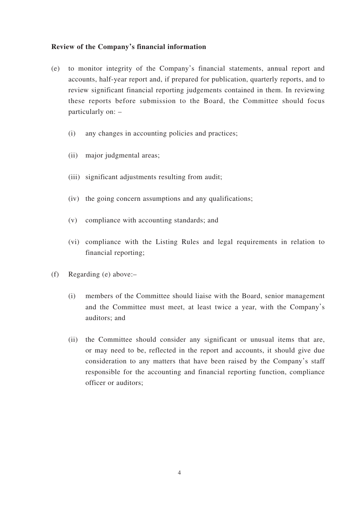#### **Review of the Company's financial information**

- (e) to monitor integrity of the Company's financial statements, annual report and accounts, half-year report and, if prepared for publication, quarterly reports, and to review significant financial reporting judgements contained in them. In reviewing these reports before submission to the Board, the Committee should focus particularly on: –
	- (i) any changes in accounting policies and practices;
	- (ii) major judgmental areas;
	- (iii) significant adjustments resulting from audit;
	- (iv) the going concern assumptions and any qualifications;
	- (v) compliance with accounting standards; and
	- (vi) compliance with the Listing Rules and legal requirements in relation to financial reporting;
- (f) Regarding (e) above:–
	- (i) members of the Committee should liaise with the Board, senior management and the Committee must meet, at least twice a year, with the Company's auditors; and
	- (ii) the Committee should consider any significant or unusual items that are, or may need to be, reflected in the report and accounts, it should give due consideration to any matters that have been raised by the Company's staff responsible for the accounting and financial reporting function, compliance officer or auditors;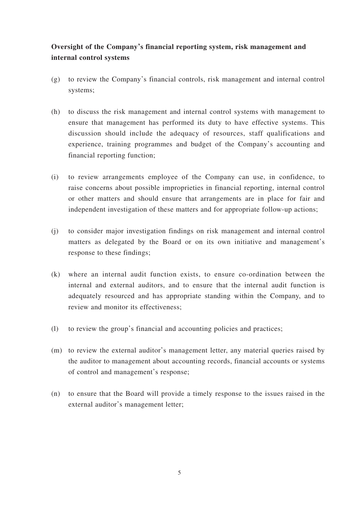### **Oversight of the Company's financial reporting system, risk management and internal control systems**

- (g) to review the Company's financial controls, risk management and internal control systems;
- (h) to discuss the risk management and internal control systems with management to ensure that management has performed its duty to have effective systems. This discussion should include the adequacy of resources, staff qualifications and experience, training programmes and budget of the Company's accounting and financial reporting function;
- (i) to review arrangements employee of the Company can use, in confidence, to raise concerns about possible improprieties in financial reporting, internal control or other matters and should ensure that arrangements are in place for fair and independent investigation of these matters and for appropriate follow-up actions;
- (j) to consider major investigation findings on risk management and internal control matters as delegated by the Board or on its own initiative and management's response to these findings;
- (k) where an internal audit function exists, to ensure co-ordination between the internal and external auditors, and to ensure that the internal audit function is adequately resourced and has appropriate standing within the Company, and to review and monitor its effectiveness;
- (l) to review the group's financial and accounting policies and practices;
- (m) to review the external auditor's management letter, any material queries raised by the auditor to management about accounting records, financial accounts or systems of control and management's response;
- (n) to ensure that the Board will provide a timely response to the issues raised in the external auditor's management letter;